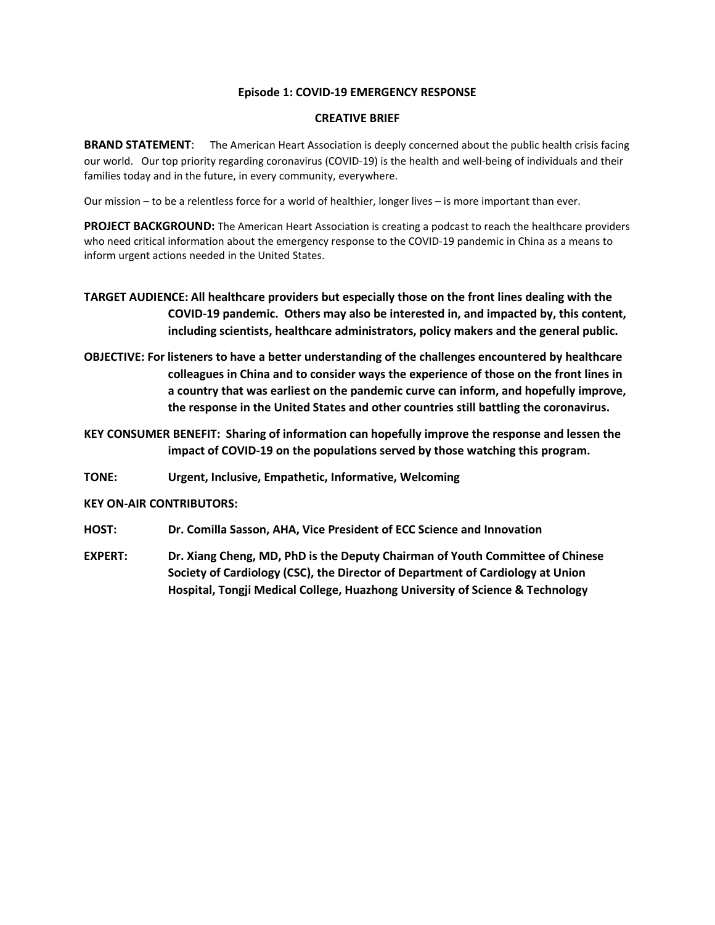#### **Episode 1: COVID-19 EMERGENCY RESPONSE**

#### **CREATIVE BRIEF**

**BRAND STATEMENT:** The American Heart Association is deeply concerned about the public health crisis facing our world. Our top priority regarding coronavirus (COVID-19) is the health and well-being of individuals and their families today and in the future, in every community, everywhere.

Our mission – to be a relentless force for a world of healthier, longer lives – is more important than ever.

**PROJECT BACKGROUND:** The American Heart Association is creating a podcast to reach the healthcare providers who need critical information about the emergency response to the COVID-19 pandemic in China as a means to inform urgent actions needed in the United States.

# **TARGET AUDIENCE: All healthcare providers but especially those on the front lines dealing with the COVID-19 pandemic. Others may also be interested in, and impacted by, this content, including scientists, healthcare administrators, policy makers and the general public.**

**OBJECTIVE: For listeners to have a better understanding of the challenges encountered by healthcare colleagues in China and to consider ways the experience of those on the front lines in a country that was earliest on the pandemic curve can inform, and hopefully improve, the response in the United States and other countries still battling the coronavirus.** 

**KEY CONSUMER BENEFIT: Sharing of information can hopefully improve the response and lessen the impact of COVID-19 on the populations served by those watching this program.** 

**TONE: Urgent, Inclusive, Empathetic, Informative, Welcoming**

### **KEY ON-AIR CONTRIBUTORS:**

- **HOST: Dr. Comilla Sasson, AHA, Vice President of ECC Science and Innovation**
- **EXPERT: Dr. Xiang Cheng, MD, PhD is the Deputy Chairman of Youth Committee of Chinese Society of Cardiology (CSC), the Director of Department of Cardiology at Union Hospital, Tongji Medical College, Huazhong University of Science & Technology**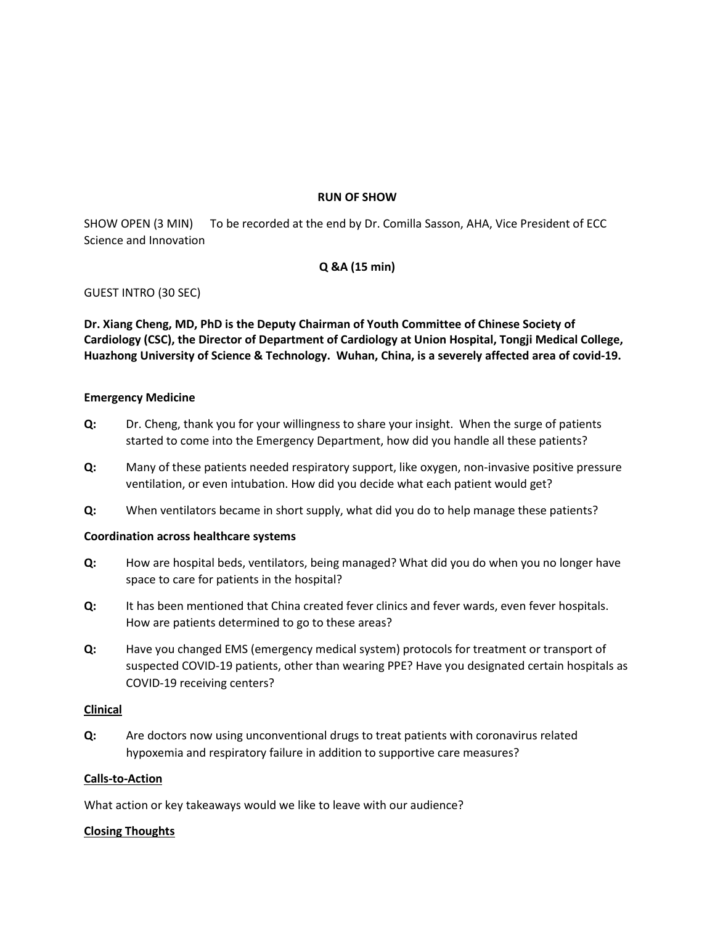#### **RUN OF SHOW**

SHOW OPEN (3 MIN) To be recorded at the end by Dr. Comilla Sasson, AHA, Vice President of ECC Science and Innovation

## **Q &A (15 min)**

GUEST INTRO (30 SEC)

**Dr. Xiang Cheng, MD, PhD is the Deputy Chairman of Youth Committee of Chinese Society of Cardiology (CSC), the Director of Department of Cardiology at Union Hospital, Tongji Medical College, Huazhong University of Science & Technology. Wuhan, China, is a severely affected area of covid-19.**

#### **Emergency Medicine**

- **Q:** Dr. Cheng, thank you for your willingness to share your insight. When the surge of patients started to come into the Emergency Department, how did you handle all these patients?
- **Q:** Many of these patients needed respiratory support, like oxygen, non-invasive positive pressure ventilation, or even intubation. How did you decide what each patient would get?
- **Q:** When ventilators became in short supply, what did you do to help manage these patients?

#### **Coordination across healthcare systems**

- **Q:** How are hospital beds, ventilators, being managed? What did you do when you no longer have space to care for patients in the hospital?
- **Q:** It has been mentioned that China created fever clinics and fever wards, even fever hospitals. How are patients determined to go to these areas?
- **Q:** Have you changed EMS (emergency medical system) protocols for treatment or transport of suspected COVID-19 patients, other than wearing PPE? Have you designated certain hospitals as COVID-19 receiving centers?

#### **Clinical**

**Q:** Are doctors now using unconventional drugs to treat patients with coronavirus related hypoxemia and respiratory failure in addition to supportive care measures?

#### **Calls-to-Action**

What action or key takeaways would we like to leave with our audience?

### **Closing Thoughts**